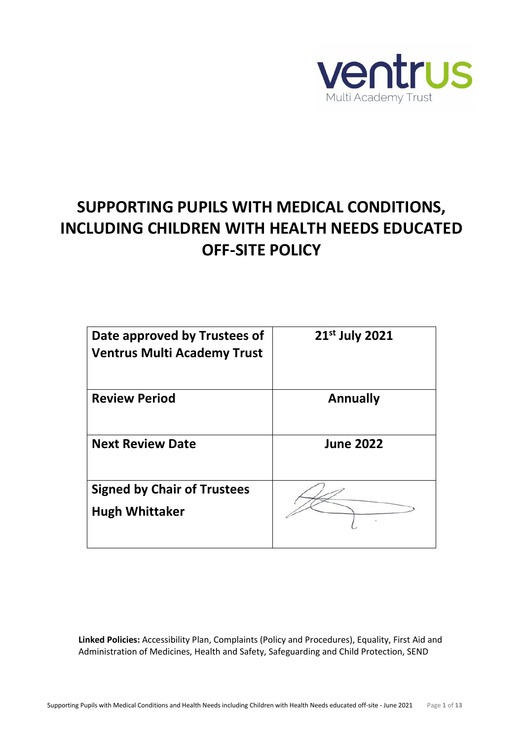

# **SUPPORTING PUPILS WITH MEDICAL CONDITIONS, INCLUDING CHILDREN WITH HEALTH NEEDS EDUCATED OFF-SITE POLICY**

| Date approved by Trustees of<br><b>Ventrus Multi Academy Trust</b> | 21 <sup>st</sup> July 2021 |
|--------------------------------------------------------------------|----------------------------|
| <b>Review Period</b>                                               | <b>Annually</b>            |
| <b>Next Review Date</b>                                            | <b>June 2022</b>           |
| <b>Signed by Chair of Trustees</b><br><b>Hugh Whittaker</b>        |                            |

**Linked Policies:** Accessibility Plan, Complaints (Policy and Procedures), Equality, First Aid and Administration of Medicines, Health and Safety, Safeguarding and Child Protection, SEND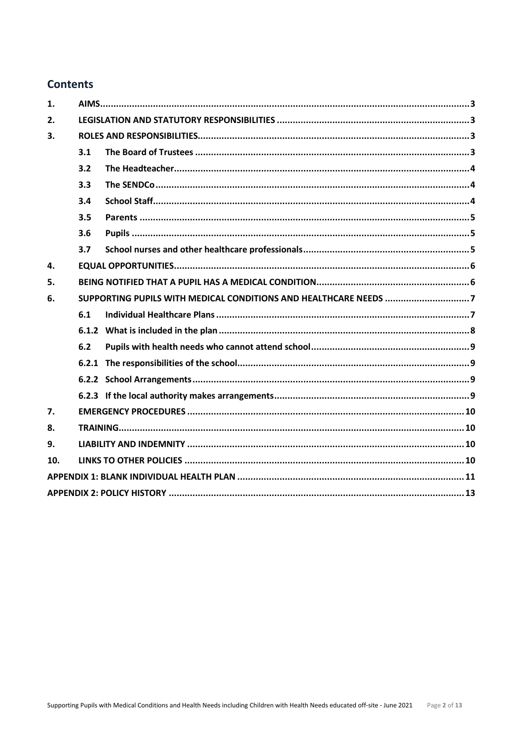# **Contents**

| 1.  |                                                                  |  |  |  |
|-----|------------------------------------------------------------------|--|--|--|
| 2.  |                                                                  |  |  |  |
| 3.  |                                                                  |  |  |  |
|     | 3.1                                                              |  |  |  |
|     | 3.2                                                              |  |  |  |
|     | 3.3                                                              |  |  |  |
|     | 3.4                                                              |  |  |  |
|     | 3.5                                                              |  |  |  |
|     | 3.6                                                              |  |  |  |
|     | 3.7                                                              |  |  |  |
| 4.  |                                                                  |  |  |  |
| 5.  |                                                                  |  |  |  |
| 6.  | SUPPORTING PUPILS WITH MEDICAL CONDITIONS AND HEALTHCARE NEEDS 7 |  |  |  |
|     | 6.1                                                              |  |  |  |
|     |                                                                  |  |  |  |
|     | 6.2                                                              |  |  |  |
|     |                                                                  |  |  |  |
|     |                                                                  |  |  |  |
|     |                                                                  |  |  |  |
| 7.  |                                                                  |  |  |  |
| 8.  |                                                                  |  |  |  |
| 9.  |                                                                  |  |  |  |
| 10. |                                                                  |  |  |  |
|     |                                                                  |  |  |  |
|     |                                                                  |  |  |  |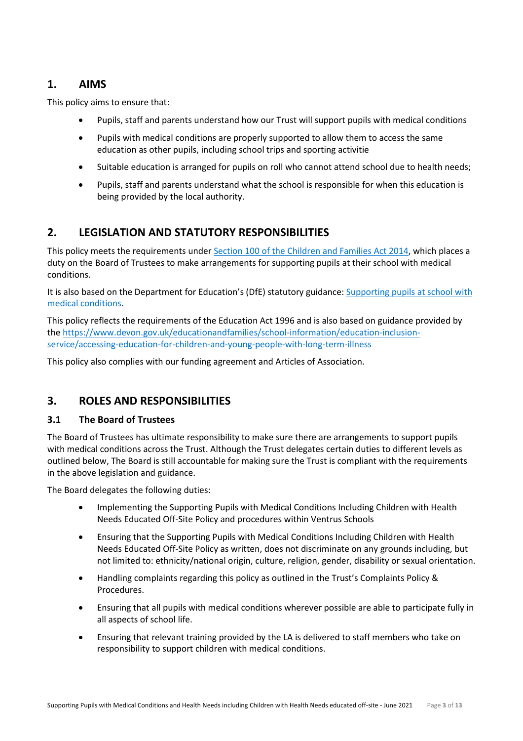## <span id="page-2-0"></span>**1. AIMS**

This policy aims to ensure that:

- Pupils, staff and parents understand how our Trust will support pupils with medical conditions
- Pupils with medical conditions are properly supported to allow them to access the same education as other pupils, including school trips and sporting activitie
- Suitable education is arranged for pupils on roll who cannot attend school due to health needs;
- Pupils, staff and parents understand what the school is responsible for when this education is being provided by the local authority.

## <span id="page-2-1"></span>**2. LEGISLATION AND STATUTORY RESPONSIBILITIES**

This policy meets the requirements under [Section 100 of the Children and Families Act 2014,](http://www.legislation.gov.uk/ukpga/2014/6/part/5/crossheading/pupils-with-medical-conditions) which places a duty on the Board of Trustees to make arrangements for supporting pupils at their school with medical conditions.

It is also based on the Department for Education's (DfE) statutory guidance: Supporting pupils at school with [medical conditions.](https://www.gov.uk/government/publications/supporting-pupils-at-school-with-medical-conditions--3)

This policy reflects the requirements of the Education Act 1996 and is also based on guidance provided by the [https://www.devon.gov.uk/educationandfamilies/school-information/education-inclusion](https://www.devon.gov.uk/educationandfamilies/school-information/education-inclusion-service/accessing-education-for-children-and-young-people-with-long-term-illness)[service/accessing-education-for-children-and-young-people-with-long-term-illness](https://www.devon.gov.uk/educationandfamilies/school-information/education-inclusion-service/accessing-education-for-children-and-young-people-with-long-term-illness)

This policy also complies with our funding agreement and Articles of Association.

## <span id="page-2-2"></span>**3. ROLES AND RESPONSIBILITIES**

#### <span id="page-2-3"></span>**3.1 The Board of Trustees**

The Board of Trustees has ultimate responsibility to make sure there are arrangements to support pupils with medical conditions across the Trust. Although the Trust delegates certain duties to different levels as outlined below, The Board is still accountable for making sure the Trust is compliant with the requirements in the above legislation and guidance.

The Board delegates the following duties:

- Implementing the Supporting Pupils with Medical Conditions Including Children with Health Needs Educated Off-Site Policy and procedures within Ventrus Schools
- Ensuring that the Supporting Pupils with Medical Conditions Including Children with Health Needs Educated Off-Site Policy as written, does not discriminate on any grounds including, but not limited to: ethnicity/national origin, culture, religion, gender, disability or sexual orientation.
- Handling complaints regarding this policy as outlined in the Trust's Complaints Policy & Procedures.
- Ensuring that all pupils with medical conditions wherever possible are able to participate fully in all aspects of school life.
- Ensuring that relevant training provided by the LA is delivered to staff members who take on responsibility to support children with medical conditions.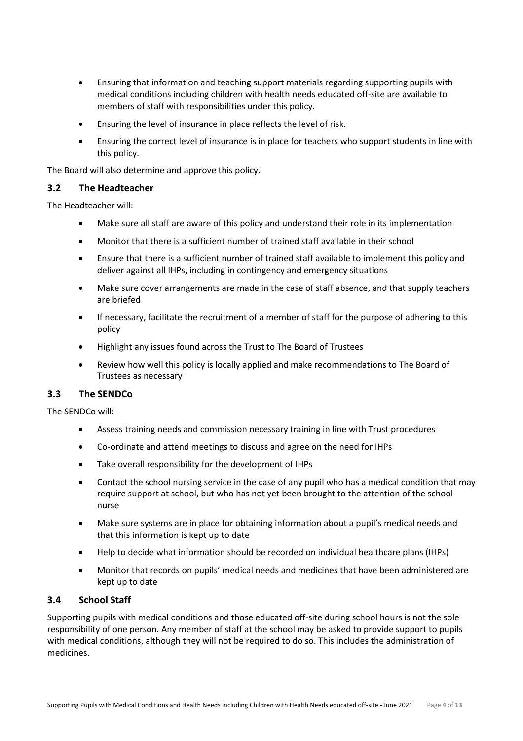- Ensuring that information and teaching support materials regarding supporting pupils with medical conditions including children with health needs educated off-site are available to members of staff with responsibilities under this policy.
- Ensuring the level of insurance in place reflects the level of risk.
- Ensuring the correct level of insurance is in place for teachers who support students in line with this policy.

The Board will also determine and approve this policy.

#### <span id="page-3-0"></span>**3.2 The Headteacher**

The Headteacher will:

- Make sure all staff are aware of this policy and understand their role in its implementation
- Monitor that there is a sufficient number of trained staff available in their school
- Ensure that there is a sufficient number of trained staff available to implement this policy and deliver against all IHPs, including in contingency and emergency situations
- Make sure cover arrangements are made in the case of staff absence, and that supply teachers are briefed
- If necessary, facilitate the recruitment of a member of staff for the purpose of adhering to this policy
- Highlight any issues found across the Trust to The Board of Trustees
- Review how well this policy is locally applied and make recommendations to The Board of Trustees as necessary

#### <span id="page-3-1"></span>**3.3 The SENDCo**

The SENDCo will:

- Assess training needs and commission necessary training in line with Trust procedures
- Co-ordinate and attend meetings to discuss and agree on the need for IHPs
- Take overall responsibility for the development of IHPs
- Contact the school nursing service in the case of any pupil who has a medical condition that may require support at school, but who has not yet been brought to the attention of the school nurse
- Make sure systems are in place for obtaining information about a pupil's medical needs and that this information is kept up to date
- Help to decide what information should be recorded on individual healthcare plans (IHPs)
- Monitor that records on pupils' medical needs and medicines that have been administered are kept up to date

#### <span id="page-3-2"></span>**3.4 School Staff**

Supporting pupils with medical conditions and those educated off-site during school hours is not the sole responsibility of one person. Any member of staff at the school may be asked to provide support to pupils with medical conditions, although they will not be required to do so. This includes the administration of medicines.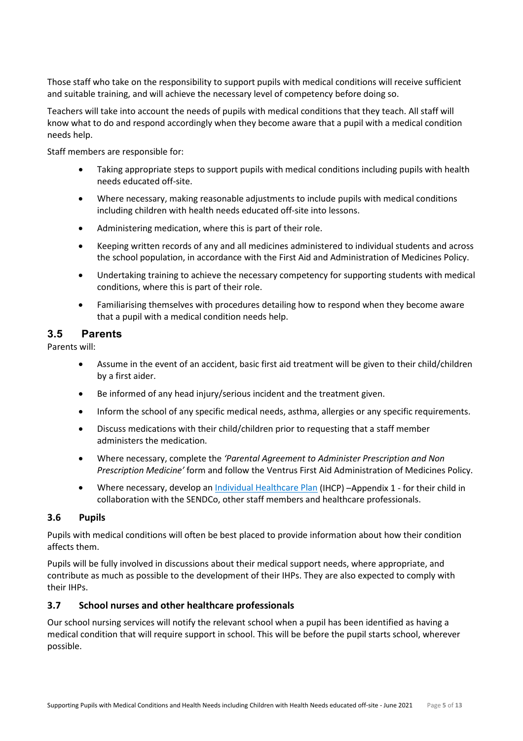Those staff who take on the responsibility to support pupils with medical conditions will receive sufficient and suitable training, and will achieve the necessary level of competency before doing so.

Teachers will take into account the needs of pupils with medical conditions that they teach. All staff will know what to do and respond accordingly when they become aware that a pupil with a medical condition needs help.

Staff members are responsible for:

- Taking appropriate steps to support pupils with medical conditions including pupils with health needs educated off-site.
- Where necessary, making reasonable adjustments to include pupils with medical conditions including children with health needs educated off-site into lessons.
- Administering medication, where this is part of their role.
- Keeping written records of any and all medicines administered to individual students and across the school population, in accordance with the First Aid and Administration of Medicines Policy.
- Undertaking training to achieve the necessary competency for supporting students with medical conditions, where this is part of their role.
- <span id="page-4-0"></span>• Familiarising themselves with procedures detailing how to respond when they become aware that a pupil with a medical condition needs help.

## **3.5 Parents**

Parents will:

- Assume in the event of an accident, basic first aid treatment will be given to their child/children by a first aider.
- Be informed of any head injury/serious incident and the treatment given.
- Inform the school of any specific medical needs, asthma, allergies or any specific requirements.
- Discuss medications with their child/children prior to requesting that a staff member administers the medication.
- Where necessary, complete the *'Parental Agreement to Administer Prescription and Non Prescription Medicine'* form and follow the Ventrus First Aid Administration of Medicines Policy.
- Where necessary, develop an Individual Healthcare Plan (IHCP) Appendix 1 for their child in collaboration with the SENDCo, other staff members and healthcare professionals.

#### <span id="page-4-1"></span>**3.6 Pupils**

Pupils with medical conditions will often be best placed to provide information about how their condition affects them.

Pupils will be fully involved in discussions about their medical support needs, where appropriate, and contribute as much as possible to the development of their IHPs. They are also expected to comply with their IHPs.

#### <span id="page-4-2"></span>**3.7 School nurses and other healthcare professionals**

Our school nursing services will notify the relevant school when a pupil has been identified as having a medical condition that will require support in school. This will be before the pupil starts school, wherever possible.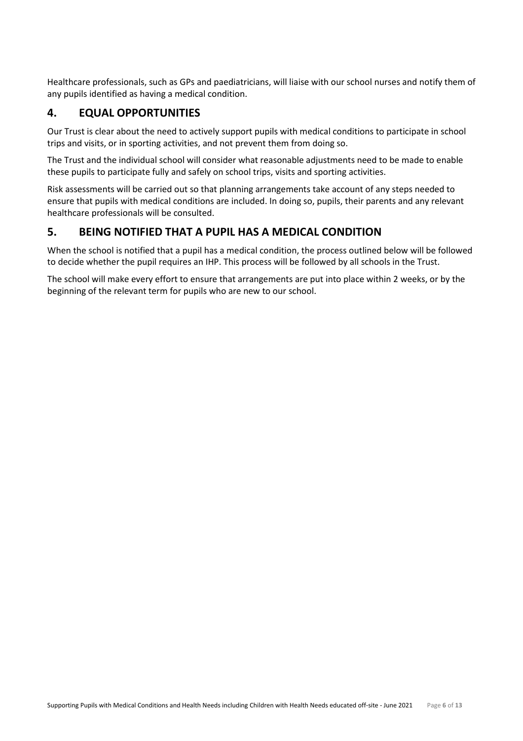Healthcare professionals, such as GPs and paediatricians, will liaise with our school nurses and notify them of any pupils identified as having a medical condition.

## <span id="page-5-0"></span>**4. EQUAL OPPORTUNITIES**

Our Trust is clear about the need to actively support pupils with medical conditions to participate in school trips and visits, or in sporting activities, and not prevent them from doing so.

The Trust and the individual school will consider what reasonable adjustments need to be made to enable these pupils to participate fully and safely on school trips, visits and sporting activities.

Risk assessments will be carried out so that planning arrangements take account of any steps needed to ensure that pupils with medical conditions are included. In doing so, pupils, their parents and any relevant healthcare professionals will be consulted.

## <span id="page-5-1"></span>**5. BEING NOTIFIED THAT A PUPIL HAS A MEDICAL CONDITION**

When the school is notified that a pupil has a medical condition, the process outlined below will be followed to decide whether the pupil requires an IHP. This process will be followed by all schools in the Trust.

The school will make every effort to ensure that arrangements are put into place within 2 weeks, or by the beginning of the relevant term for pupils who are new to our school.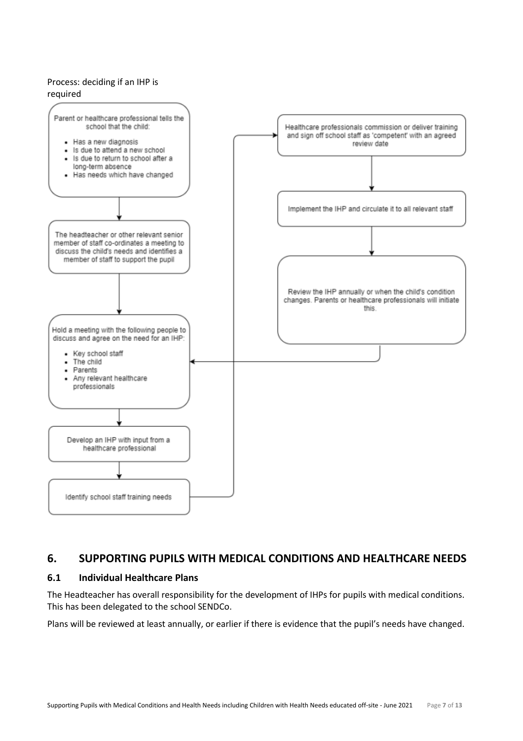#### Process: deciding if an IHP is required



## <span id="page-6-0"></span>**6. SUPPORTING PUPILS WITH MEDICAL CONDITIONS AND HEALTHCARE NEEDS**

## <span id="page-6-1"></span>**6.1 Individual Healthcare Plans**

The Headteacher has overall responsibility for the development of IHPs for pupils with medical conditions. This has been delegated to the school SENDCo.

Plans will be reviewed at least annually, or earlier if there is evidence that the pupil's needs have changed.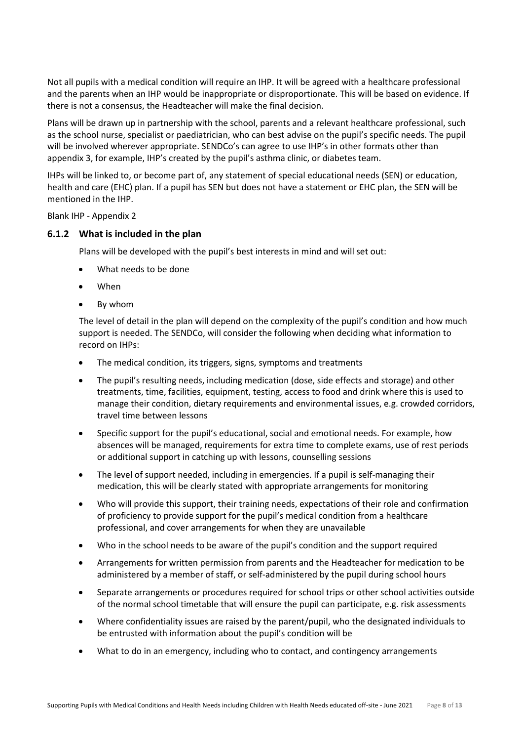Not all pupils with a medical condition will require an IHP. It will be agreed with a healthcare professional and the parents when an IHP would be inappropriate or disproportionate. This will be based on evidence. If there is not a consensus, the Headteacher will make the final decision.

Plans will be drawn up in partnership with the school, parents and a relevant healthcare professional, such as the school nurse, specialist or paediatrician, who can best advise on the pupil's specific needs. The pupil will be involved wherever appropriate. SENDCo's can agree to use IHP's in other formats other than appendix 3, for example, IHP's created by the pupil's asthma clinic, or diabetes team.

IHPs will be linked to, or become part of, any statement of special educational needs (SEN) or education, health and care (EHC) plan. If a pupil has SEN but does not have a statement or EHC plan, the SEN will be mentioned in the IHP.

Blank IHP - Appendix 2

#### <span id="page-7-0"></span>**6.1.2 What is included in the plan**

Plans will be developed with the pupil's best interests in mind and will set out:

- What needs to be done
- When
- By whom

The level of detail in the plan will depend on the complexity of the pupil's condition and how much support is needed. The SENDCo, will consider the following when deciding what information to record on IHPs:

- The medical condition, its triggers, signs, symptoms and treatments
- The pupil's resulting needs, including medication (dose, side effects and storage) and other treatments, time, facilities, equipment, testing, access to food and drink where this is used to manage their condition, dietary requirements and environmental issues, e.g. crowded corridors, travel time between lessons
- Specific support for the pupil's educational, social and emotional needs. For example, how absences will be managed, requirements for extra time to complete exams, use of rest periods or additional support in catching up with lessons, counselling sessions
- The level of support needed, including in emergencies. If a pupil is self-managing their medication, this will be clearly stated with appropriate arrangements for monitoring
- Who will provide this support, their training needs, expectations of their role and confirmation of proficiency to provide support for the pupil's medical condition from a healthcare professional, and cover arrangements for when they are unavailable
- Who in the school needs to be aware of the pupil's condition and the support required
- Arrangements for written permission from parents and the Headteacher for medication to be administered by a member of staff, or self-administered by the pupil during school hours
- Separate arrangements or procedures required for school trips or other school activities outside of the normal school timetable that will ensure the pupil can participate, e.g. risk assessments
- Where confidentiality issues are raised by the parent/pupil, who the designated individuals to be entrusted with information about the pupil's condition will be
- What to do in an emergency, including who to contact, and contingency arrangements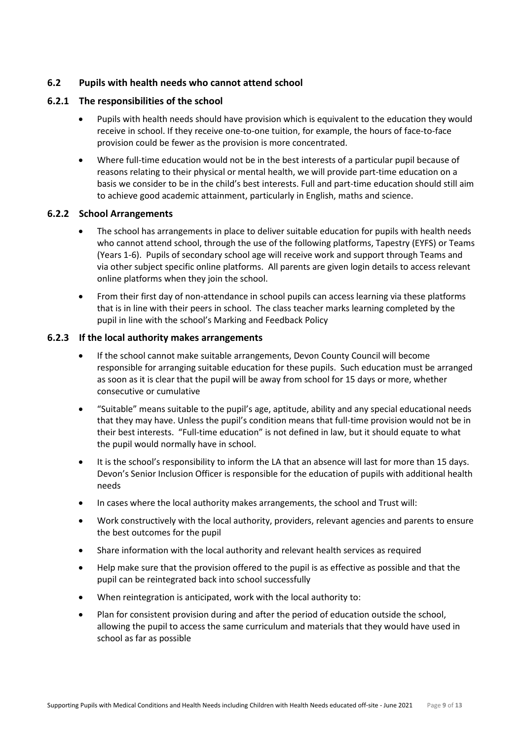#### <span id="page-8-0"></span>**6.2 Pupils with health needs who cannot attend school**

#### <span id="page-8-1"></span>**6.2.1 The responsibilities of the school**

- Pupils with health needs should have provision which is equivalent to the education they would receive in school. If they receive one-to-one tuition, for example, the hours of face-to-face provision could be fewer as the provision is more concentrated.
- Where full-time education would not be in the best interests of a particular pupil because of reasons relating to their physical or mental health, we will provide part-time education on a basis we consider to be in the child's best interests. Full and part-time education should still aim to achieve good academic attainment, particularly in English, maths and science.

#### <span id="page-8-2"></span>**6.2.2 School Arrangements**

- The school has arrangements in place to deliver suitable education for pupils with health needs who cannot attend school, through the use of the following platforms, Tapestry (EYFS) or Teams (Years 1-6). Pupils of secondary school age will receive work and support through Teams and via other subject specific online platforms. All parents are given login details to access relevant online platforms when they join the school.
- From their first day of non-attendance in school pupils can access learning via these platforms that is in line with their peers in school. The class teacher marks learning completed by the pupil in line with the school's Marking and Feedback Policy

#### <span id="page-8-3"></span>**6.2.3 If the local authority makes arrangements**

- If the school cannot make suitable arrangements, Devon County Council will become responsible for arranging suitable education for these pupils. Such education must be arranged as soon as it is clear that the pupil will be away from school for 15 days or more, whether consecutive or cumulative
- "Suitable" means suitable to the pupil's age, aptitude, ability and any special educational needs that they may have. Unless the pupil's condition means that full-time provision would not be in their best interests. "Full-time education" is not defined in law, but it should equate to what the pupil would normally have in school.
- It is the school's responsibility to inform the LA that an absence will last for more than 15 days. Devon's Senior Inclusion Officer is responsible for the education of pupils with additional health needs
- In cases where the local authority makes arrangements, the school and Trust will:
- Work constructively with the local authority, providers, relevant agencies and parents to ensure the best outcomes for the pupil
- Share information with the local authority and relevant health services as required
- Help make sure that the provision offered to the pupil is as effective as possible and that the pupil can be reintegrated back into school successfully
- When reintegration is anticipated, work with the local authority to:
- Plan for consistent provision during and after the period of education outside the school, allowing the pupil to access the same curriculum and materials that they would have used in school as far as possible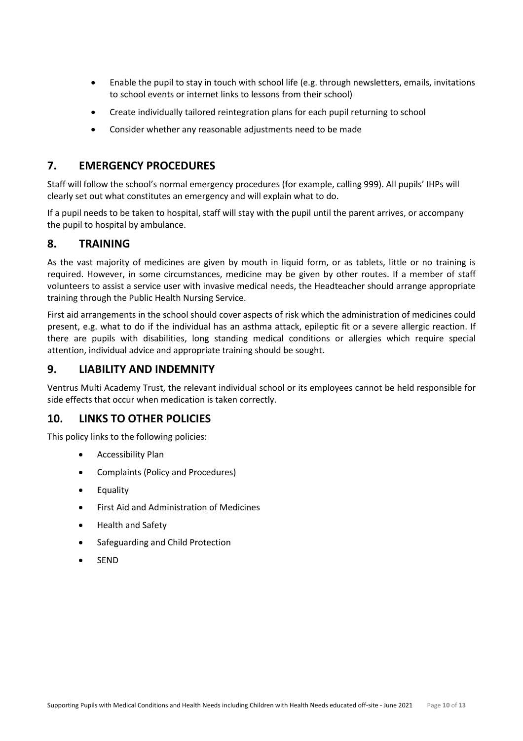- Enable the pupil to stay in touch with school life (e.g. through newsletters, emails, invitations to school events or internet links to lessons from their school)
- Create individually tailored reintegration plans for each pupil returning to school
- Consider whether any reasonable adjustments need to be made

## <span id="page-9-0"></span>**7. EMERGENCY PROCEDURES**

Staff will follow the school's normal emergency procedures (for example, calling 999). All pupils' IHPs will clearly set out what constitutes an emergency and will explain what to do.

If a pupil needs to be taken to hospital, staff will stay with the pupil until the parent arrives, or accompany the pupil to hospital by ambulance.

## <span id="page-9-1"></span>**8. TRAINING**

As the vast majority of medicines are given by mouth in liquid form, or as tablets, little or no training is required. However, in some circumstances, medicine may be given by other routes. If a member of staff volunteers to assist a service user with invasive medical needs, the Headteacher should arrange appropriate training through the Public Health Nursing Service.

First aid arrangements in the school should cover aspects of risk which the administration of medicines could present, e.g. what to do if the individual has an asthma attack, epileptic fit or a severe allergic reaction. If there are pupils with disabilities, long standing medical conditions or allergies which require special attention, individual advice and appropriate training should be sought.

## <span id="page-9-2"></span>**9. LIABILITY AND INDEMNITY**

Ventrus Multi Academy Trust, the relevant individual school or its employees cannot be held responsible for side effects that occur when medication is taken correctly.

## <span id="page-9-3"></span>**10. LINKS TO OTHER POLICIES**

This policy links to the following policies:

- Accessibility Plan
- Complaints (Policy and Procedures)
- Equality
- First Aid and Administration of Medicines
- Health and Safety
- Safeguarding and Child Protection
- SEND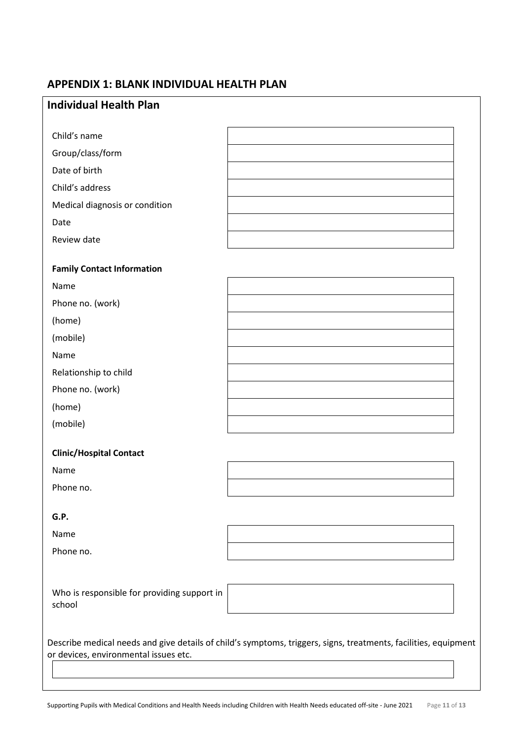# <span id="page-10-0"></span>**APPENDIX 1: BLANK INDIVIDUAL HEALTH PLAN**

| <b>Individual Health Plan</b>                                                                                                                            |  |  |  |  |  |  |
|----------------------------------------------------------------------------------------------------------------------------------------------------------|--|--|--|--|--|--|
|                                                                                                                                                          |  |  |  |  |  |  |
| Child's name                                                                                                                                             |  |  |  |  |  |  |
| Group/class/form                                                                                                                                         |  |  |  |  |  |  |
| Date of birth                                                                                                                                            |  |  |  |  |  |  |
| Child's address                                                                                                                                          |  |  |  |  |  |  |
| Medical diagnosis or condition                                                                                                                           |  |  |  |  |  |  |
| Date                                                                                                                                                     |  |  |  |  |  |  |
| Review date                                                                                                                                              |  |  |  |  |  |  |
| <b>Family Contact Information</b>                                                                                                                        |  |  |  |  |  |  |
| Name                                                                                                                                                     |  |  |  |  |  |  |
| Phone no. (work)                                                                                                                                         |  |  |  |  |  |  |
| (home)                                                                                                                                                   |  |  |  |  |  |  |
| (mobile)                                                                                                                                                 |  |  |  |  |  |  |
| Name                                                                                                                                                     |  |  |  |  |  |  |
| Relationship to child                                                                                                                                    |  |  |  |  |  |  |
| Phone no. (work)                                                                                                                                         |  |  |  |  |  |  |
| (home)                                                                                                                                                   |  |  |  |  |  |  |
| (mobile)                                                                                                                                                 |  |  |  |  |  |  |
| <b>Clinic/Hospital Contact</b>                                                                                                                           |  |  |  |  |  |  |
| Name                                                                                                                                                     |  |  |  |  |  |  |
| Phone no.                                                                                                                                                |  |  |  |  |  |  |
|                                                                                                                                                          |  |  |  |  |  |  |
| G.P.                                                                                                                                                     |  |  |  |  |  |  |
| Name                                                                                                                                                     |  |  |  |  |  |  |
| Phone no.                                                                                                                                                |  |  |  |  |  |  |
|                                                                                                                                                          |  |  |  |  |  |  |
| Who is responsible for providing support in<br>school                                                                                                    |  |  |  |  |  |  |
|                                                                                                                                                          |  |  |  |  |  |  |
| Describe medical needs and give details of child's symptoms, triggers, signs, treatments, facilities, equipment<br>or devices, environmental issues etc. |  |  |  |  |  |  |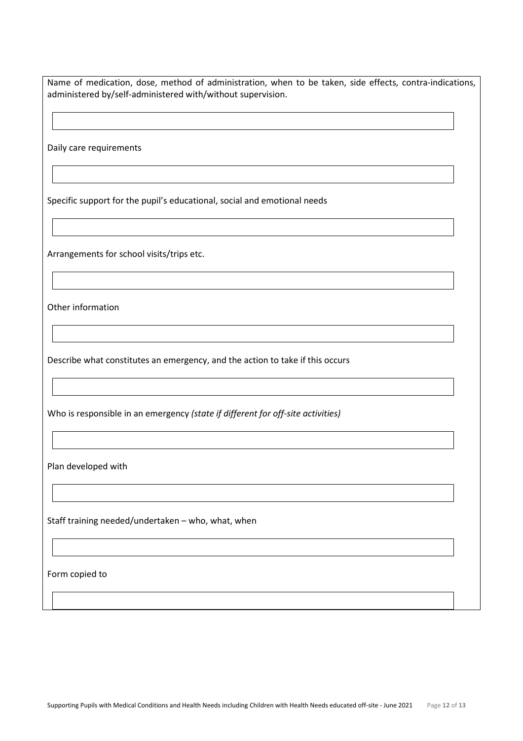Name of medication, dose, method of administration, when to be taken, side effects, contra-indications, administered by/self-administered with/without supervision.

Daily care requirements

Specific support for the pupil's educational, social and emotional needs

Arrangements for school visits/trips etc.

Other information

Describe what constitutes an emergency, and the action to take if this occurs

Who is responsible in an emergency *(state if different for off-site activities)*

Plan developed with

Staff training needed/undertaken – who, what, when

Form copied to